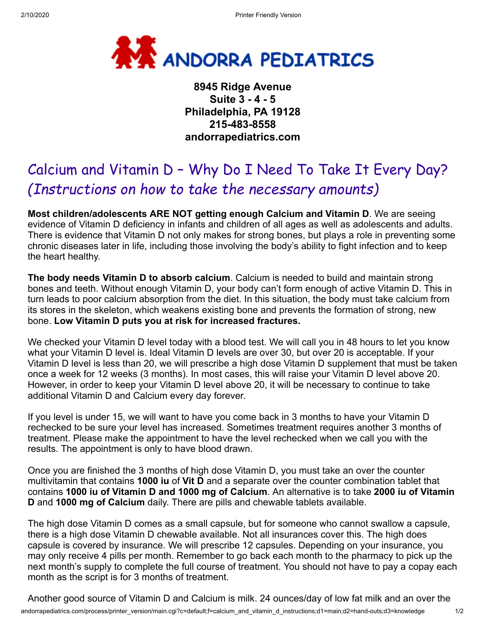

**8945 Ridge Avenue Suite 3 - 4 - 5 Philadelphia, PA 19128 215-483-8558 andorrapediatrics.com**

## Calcium and Vitamin D – Why Do I Need To Take It Every Day? *(Instructions on how to take the necessary amounts)*

**Most children/adolescents ARE NOT getting enough Calcium and Vitamin D**. We are seeing evidence of Vitamin D deficiency in infants and children of all ages as well as adolescents and adults. There is evidence that Vitamin D not only makes for strong bones, but plays a role in preventing some chronic diseases later in life, including those involving the body's ability to fight infection and to keep the heart healthy.

**The body needs Vitamin D to absorb calcium**. Calcium is needed to build and maintain strong bones and teeth. Without enough Vitamin D, your body can't form enough of active Vitamin D. This in turn leads to poor calcium absorption from the diet. In this situation, the body must take calcium from its stores in the skeleton, which weakens existing bone and prevents the formation of strong, new bone. **Low Vitamin D puts you at risk for increased fractures.**

We checked your Vitamin D level today with a blood test. We will call you in 48 hours to let you know what your Vitamin D level is. Ideal Vitamin D levels are over 30, but over 20 is acceptable. If your Vitamin D level is less than 20, we will prescribe a high dose Vitamin D supplement that must be taken once a week for 12 weeks (3 months). In most cases, this will raise your Vitamin D level above 20. However, in order to keep your Vitamin D level above 20, it will be necessary to continue to take additional Vitamin D and Calcium every day forever.

If you level is under 15, we will want to have you come back in 3 months to have your Vitamin D rechecked to be sure your level has increased. Sometimes treatment requires another 3 months of treatment. Please make the appointment to have the level rechecked when we call you with the results. The appointment is only to have blood drawn.

Once you are finished the 3 months of high dose Vitamin D, you must take an over the counter multivitamin that contains **1000 iu** of **Vit D** and a separate over the counter combination tablet that contains **1000 iu of Vitamin D and 1000 mg of Calcium**. An alternative is to take **2000 iu of Vitamin D** and **1000 mg of Calcium** daily. There are pills and chewable tablets available.

The high dose Vitamin D comes as a small capsule, but for someone who cannot swallow a capsule, there is a high dose Vitamin D chewable available. Not all insurances cover this. The high does capsule is covered by insurance. We will prescribe 12 capsules. Depending on your insurance, you may only receive 4 pills per month. Remember to go back each month to the pharmacy to pick up the next month's supply to complete the full course of treatment. You should not have to pay a copay each month as the script is for 3 months of treatment.

andorrapediatrics.com/process/printer\_version/main.cgi?c=default;f=calcium\_and\_vitamin\_d\_instructions;d1=main;d2=hand-outs;d3=knowledge 1/2 Another good source of Vitamin D and Calcium is milk. 24 ounces/day of low fat milk and an over the